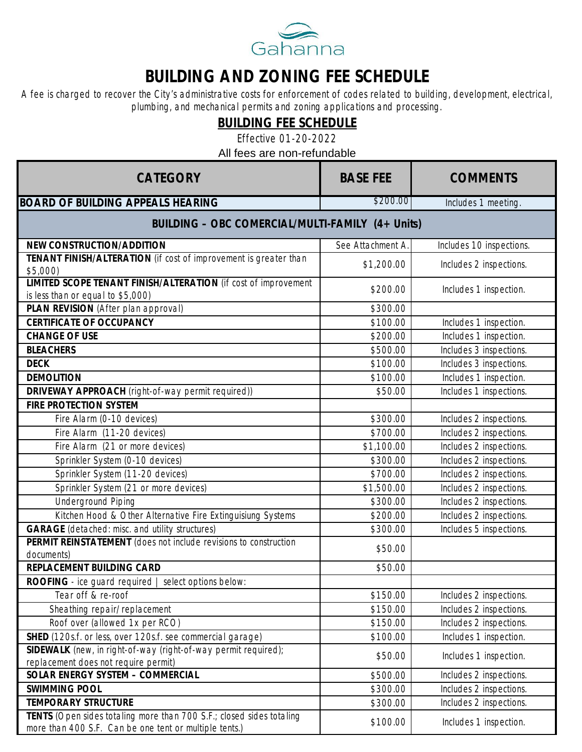

## **BUILDING AND ZONING FEE SCHEDULE**

A fee is charged to recover the City's administrative costs for enforcement of codes related to building, development, electrical, plumbing, and mechanical permits and zoning applications and processing.

**BUILDING FEE SCHEDULE**

Effective 01-20-2022

All fees are non-refundable

| CATEGORY                                                                                                                       | <b>BASE FEE</b>   | <b>COMMENTS</b>          |
|--------------------------------------------------------------------------------------------------------------------------------|-------------------|--------------------------|
| <b>BOARD OF BUILDING APPEALS HEARING</b>                                                                                       | \$200.00          | Includes 1 meeting.      |
| BUILDING - OBC COMERCIAL/MULTI-FAMILY (4+ Units)                                                                               |                   |                          |
| NEW CONSTRUCTION/ADDITION                                                                                                      | See Attachment A. | Includes 10 inspections. |
| TENANT FINISH/ALTERATION (if cost of improvement is greater than<br>\$5,000)                                                   | \$1,200.00        | Includes 2 inspections.  |
| LIMITED SCOPE TENANT FINISH/ALTERATION (if cost of improvement<br>is less than or equal to \$5,000)                            | \$200.00          | Includes 1 inspection.   |
| PLAN REVISION (After plan approval)                                                                                            | \$300.00          |                          |
| CERTIFICATE OF OCCUPANCY                                                                                                       | \$100.00          | Includes 1 inspection.   |
| <b>CHANGE OF USE</b>                                                                                                           | \$200.00          | Includes 1 inspection.   |
| <b>BLEACHERS</b>                                                                                                               | \$500.00          | Includes 3 inspections.  |
| <b>DECK</b>                                                                                                                    | \$100.00          | Includes 3 inspections.  |
| <b>DEMOLITION</b>                                                                                                              | \$100.00          | Includes 1 inspection.   |
| DRIVEWAY APPROACH (right-of-way permit required))                                                                              | \$50.00           | Includes 1 inspections.  |
| FIRE PROTECTION SYSTEM                                                                                                         |                   |                          |
| Fire Alarm (0-10 devices)                                                                                                      | \$300.00          | Includes 2 inspections.  |
| Fire Alarm (11-20 devices)                                                                                                     | \$700.00          | Includes 2 inspections.  |
| Fire Alarm (21 or more devices)                                                                                                | \$1,100.00        | Includes 2 inspections.  |
| Sprinkler System (0-10 devices)                                                                                                | \$300.00          | Includes 2 inspections.  |
| Sprinkler System (11-20 devices)                                                                                               | \$700.00          | Includes 2 inspections.  |
| Sprinkler System (21 or more devices)                                                                                          | \$1,500.00        | Includes 2 inspections.  |
| <b>Underground Piping</b>                                                                                                      | \$300.00          | Includes 2 inspections.  |
| Kitchen Hood & Other Alternative Fire Extinguisiung Systems                                                                    | \$200.00          | Includes 2 inspections.  |
| GARAGE (detached: misc. and utility structures)                                                                                | \$300.00          | Includes 5 inspections.  |
| PERMIT REINSTATEMENT (does not include revisions to construction<br>documents)                                                 | \$50.00           |                          |
| REPLACEMENT BUILDING CARD                                                                                                      | \$50.00           |                          |
| ROOFING - ice guard required   select options below:                                                                           |                   |                          |
| Tear off & re-roof                                                                                                             | \$150.00          | Includes 2 inspections.  |
| Sheathing repair/replacement                                                                                                   | \$150.00          | Includes 2 inspections.  |
| Roof over (allowed 1x per RCO)                                                                                                 | \$150.00          | Includes 2 inspections.  |
| SHED (120s.f. or less, over 120s.f. see commercial garage)                                                                     | \$100.00          | Includes 1 inspection.   |
| SIDEWALK (new, in right-of-way (right-of-way permit required);                                                                 |                   |                          |
| replacement does not require permit)                                                                                           | \$50.00           | Includes 1 inspection.   |
| SOLAR ENERGY SYSTEM - COMMERCIAL                                                                                               | \$500.00          | Includes 2 inspections.  |
| <b>SWIMMING POOL</b>                                                                                                           | \$300.00          | Includes 2 inspections.  |
| <b>TEMPORARY STRUCTURE</b>                                                                                                     | \$300.00          | Includes 2 inspections.  |
| TENTS (Open sides totaling more than 700 S.F.; closed sides totaling<br>more than 400 S.F. Can be one tent or multiple tents.) | \$100.00          | Includes 1 inspection.   |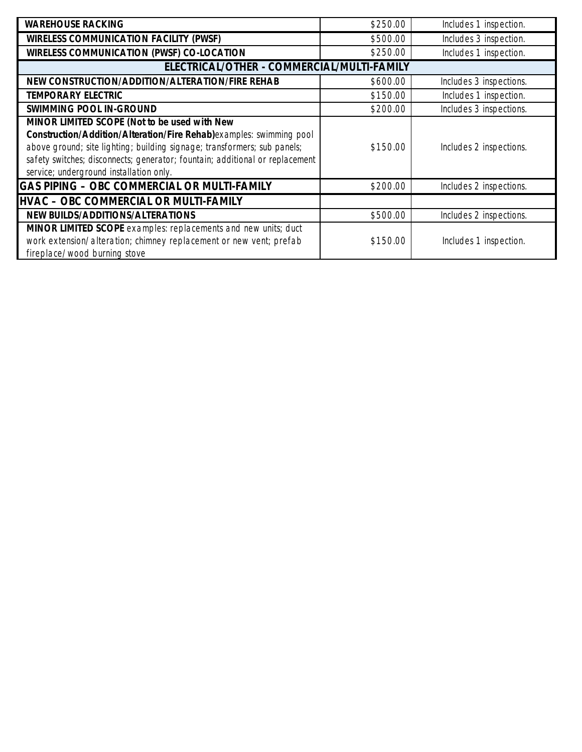| <b>WAREHOUSE RACKING</b>                                                                                                                                                                                                                                                                                                   | \$250.00 | Includes 1 inspection.  |
|----------------------------------------------------------------------------------------------------------------------------------------------------------------------------------------------------------------------------------------------------------------------------------------------------------------------------|----------|-------------------------|
| WIRELESS COMMUNICATION FACILITY (PWSF)                                                                                                                                                                                                                                                                                     | \$500.00 | Includes 3 inspection.  |
| WIRELESS COMMUNICATION (PWSF) CO-LOCATION                                                                                                                                                                                                                                                                                  | \$250.00 | Includes 1 inspection.  |
| ELECTRICAL/OTHER - COMMERCIAL/MULTI-FAMILY                                                                                                                                                                                                                                                                                 |          |                         |
| NEW CONSTRUCTION/ADDITION/ALTERATION/FIRE REHAB                                                                                                                                                                                                                                                                            | \$600.00 | Includes 3 inspections. |
| TEMPORARY ELECTRIC                                                                                                                                                                                                                                                                                                         | \$150.00 | Includes 1 inspection.  |
| SWIMMING POOL IN-GROUND                                                                                                                                                                                                                                                                                                    | \$200.00 | Includes 3 inspections. |
| MINOR LIMITED SCOPE (Not to be used with New<br>Construction/Addition/Alteration/Fire Rehab)examples: swimming pool<br>above ground; site lighting; building signage; transformers; sub panels;<br>safety switches; disconnects; generator; fountain; additional or replacement<br>service; underground installation only. | \$150.00 | Includes 2 inspections. |
| GAS PIPING - OBC COMMERCIAL OR MULTI-FAMILY                                                                                                                                                                                                                                                                                | \$200.00 | Includes 2 inspections. |
| HVAC - OBC COMMERCIAL OR MULTI-FAMILY                                                                                                                                                                                                                                                                                      |          |                         |
| NEW BUILDS/ADDITIONS/ALTERATIONS                                                                                                                                                                                                                                                                                           | \$500.00 | Includes 2 inspections. |
| MINOR LIMITED SCOPE examples: replacements and new units; duct<br>work extension/alteration; chimney replacement or new vent; prefab<br>fireplace/wood burning stove                                                                                                                                                       | \$150.00 | Includes 1 inspection.  |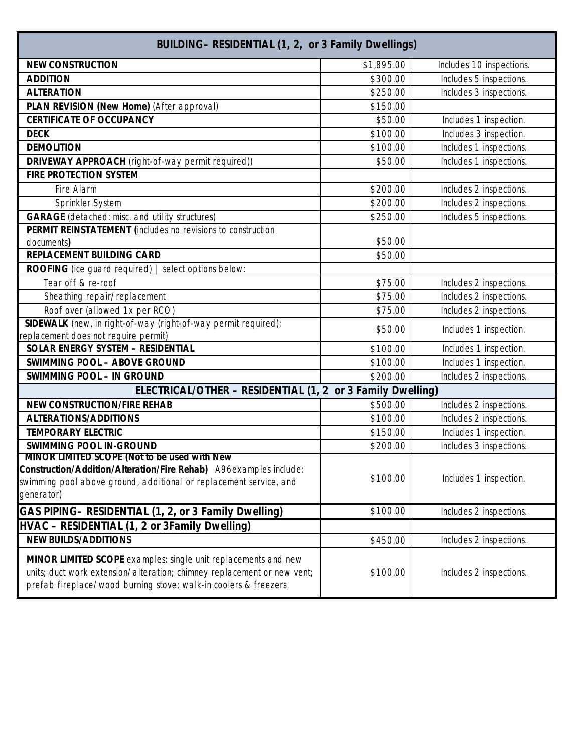| BUILDING- RESIDENTIAL (1, 2, or 3 Family Dwellings)                                                                                                                                                          |            |                          |
|--------------------------------------------------------------------------------------------------------------------------------------------------------------------------------------------------------------|------------|--------------------------|
| <b>NEW CONSTRUCTION</b>                                                                                                                                                                                      | \$1,895.00 | Includes 10 inspections. |
| <b>ADDITION</b>                                                                                                                                                                                              | \$300.00   | Includes 5 inspections.  |
| <b>ALTERATION</b>                                                                                                                                                                                            | \$250.00   | Includes 3 inspections.  |
| PLAN REVISION (New Home) (After approval)                                                                                                                                                                    | \$150.00   |                          |
| CERTIFICATE OF OCCUPANCY                                                                                                                                                                                     | \$50.00    | Includes 1 inspection.   |
| <b>DECK</b>                                                                                                                                                                                                  | \$100.00   | Includes 3 inspection.   |
| <b>DEMOLITION</b>                                                                                                                                                                                            | \$100.00   | Includes 1 inspections.  |
| DRIVEWAY APPROACH (right-of-way permit required))                                                                                                                                                            | \$50.00    | Includes 1 inspections.  |
| FIRE PROTECTION SYSTEM                                                                                                                                                                                       |            |                          |
| Fire Alarm                                                                                                                                                                                                   | \$200.00   | Includes 2 inspections.  |
| Sprinkler System                                                                                                                                                                                             | \$200.00   | Includes 2 inspections.  |
| GARAGE (detached: misc. and utility structures)                                                                                                                                                              | \$250.00   | Includes 5 inspections.  |
| PERMIT REINSTATEMENT (includes no revisions to construction                                                                                                                                                  |            |                          |
| documents)                                                                                                                                                                                                   | \$50.00    |                          |
| REPLACEMENT BUILDING CARD                                                                                                                                                                                    | \$50.00    |                          |
| ROOFING (ice guard required)  <br>select options below:                                                                                                                                                      |            |                          |
| Tear off & re-roof                                                                                                                                                                                           | \$75.00    | Includes 2 inspections.  |
| Sheathing repair/replacement                                                                                                                                                                                 | \$75.00    | Includes 2 inspections.  |
| Roof over (allowed 1x per RCO)                                                                                                                                                                               | \$75.00    | Includes 2 inspections.  |
| SIDEWALK (new, in right-of-way (right-of-way permit required);<br>replacement does not require permit)                                                                                                       | \$50.00    | Includes 1 inspection.   |
| SOLAR ENERGY SYSTEM - RESIDENTIAL                                                                                                                                                                            | \$100.00   | Includes 1 inspection.   |
| SWIMMING POOL - ABOVE GROUND                                                                                                                                                                                 | \$100.00   | Includes 1 inspection.   |
| <b>SWIMMING POOL - IN GROUND</b>                                                                                                                                                                             | \$200.00   | Includes 2 inspections.  |
| ELECTRICAL/OTHER - RESIDENTIAL (1, 2 or 3 Family Dwelling)                                                                                                                                                   |            |                          |
| <b>NEW CONSTRUCTION/FIRE REHAB</b>                                                                                                                                                                           | \$500.00   | Includes 2 inspections.  |
| ALTERATIONS/ADDITIONS                                                                                                                                                                                        | \$100.00   | Includes 2 inspections.  |
| <b>TEMPORARY ELECTRIC</b>                                                                                                                                                                                    | \$150.00   | Includes 1 inspection.   |
| SWIMMING POOL IN-GROUND                                                                                                                                                                                      | \$200.00   | Includes 3 inspections.  |
| MINOR LIMITED SCOPE (Not to be used with New<br>Construction/Addition/Alteration/Fire Rehab) A96examples include:<br>swimming pool above ground, additional or replacement service, and<br>generator)        | \$100.00   | Includes 1 inspection.   |
| GAS PIPING- RESIDENTIAL (1, 2, or 3 Family Dwelling)                                                                                                                                                         | \$100.00   | Includes 2 inspections.  |
| HVAC - RESIDENTIAL (1, 2 or 3Family Dwelling)                                                                                                                                                                |            |                          |
| <b>NEW BUILDS/ADDITIONS</b>                                                                                                                                                                                  | \$450.00   | Includes 2 inspections.  |
| MINOR LIMITED SCOPE examples: single unit replacements and new<br>units; duct work extension/alteration; chimney replacement or new vent;<br>prefab fireplace/wood burning stove; walk-in coolers & freezers | \$100.00   | Includes 2 inspections.  |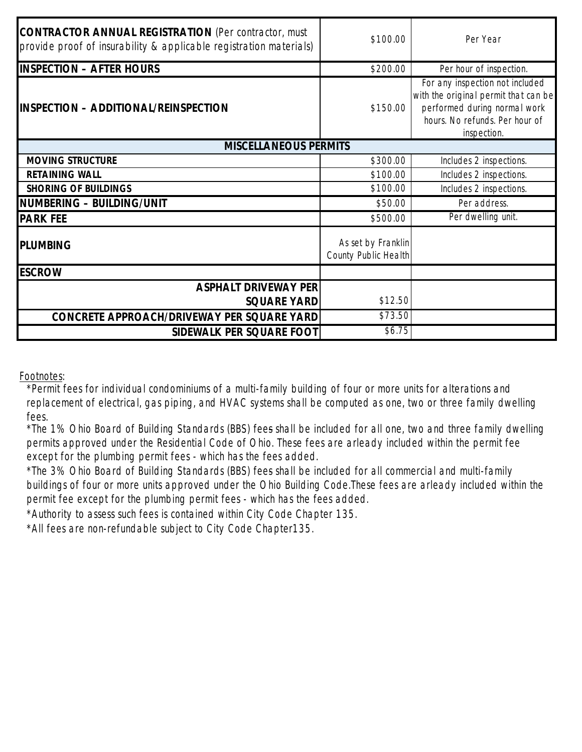| CONTRACTOR ANNUAL REGISTRATION (Per contractor, must<br>provide proof of insurability & applicable registration materials) | \$100.00                                   | Per Year                                                                                                                                                 |
|----------------------------------------------------------------------------------------------------------------------------|--------------------------------------------|----------------------------------------------------------------------------------------------------------------------------------------------------------|
| <b>INSPECTION - AFTER HOURS</b>                                                                                            | \$200.00                                   | Per hour of inspection.                                                                                                                                  |
| INSPECTION - ADDITIONAL/REINSPECTION                                                                                       | \$150.00                                   | For any inspection not included<br>with the original permit that can be<br>performed during normal work<br>hours. No refunds. Per hour of<br>inspection. |
| <b>MISCELLANEOUS PERMITS</b>                                                                                               |                                            |                                                                                                                                                          |
| MOVING STRUCTURE                                                                                                           | \$300.00                                   | Includes 2 inspections.                                                                                                                                  |
| <b>RETAINING WALL</b>                                                                                                      | \$100.00                                   | Includes 2 inspections.                                                                                                                                  |
| SHORING OF BUILDINGS                                                                                                       | \$100.00                                   | Includes 2 inspections.                                                                                                                                  |
| NUMBERING - BUILDING/UNIT                                                                                                  | \$50.00                                    | Per address.                                                                                                                                             |
| <b>PARK FEE</b>                                                                                                            | \$500.00                                   | Per dwelling unit.                                                                                                                                       |
| <b>PLUMBING</b>                                                                                                            | As set by Franklin<br>County Public Health |                                                                                                                                                          |
| <b>ESCROW</b>                                                                                                              |                                            |                                                                                                                                                          |
| <b>ASPHALT DRIVEWAY PER</b>                                                                                                |                                            |                                                                                                                                                          |
| <b>SQUARE YARD</b>                                                                                                         | \$12.50                                    |                                                                                                                                                          |
| CONCRETE APPROACH/DRIVEWAY PER SQUARE YARD                                                                                 | \$73.50                                    |                                                                                                                                                          |
| SIDEWALK PER SQUARE FOOT                                                                                                   | \$6.75                                     |                                                                                                                                                          |

Footnotes:

\*Permit fees for individual condominiums of a multi-family building of four or more units for alterations and replacement of electrical, gas piping, and HVAC systems shall be computed as one, two or three family dwelling fees.

\*The 1% Ohio Board of Building Standards (BBS) fees shall be included for all one, two and three family dwelling permits approved under the Residential Code of Ohio. These fees are arleady included within the permit fee except for the plumbing permit fees - which has the fees added.

\*The 3% Ohio Board of Building Standards (BBS) fees shall be included for all commercial and multi-family buildings of four or more units approved under the Ohio Building Code.These fees are arleady included within the permit fee except for the plumbing permit fees - which has the fees added.

\*Authority to assess such fees is contained within City Code Chapter 135.

\*All fees are non-refundable subject to City Code Chapter135.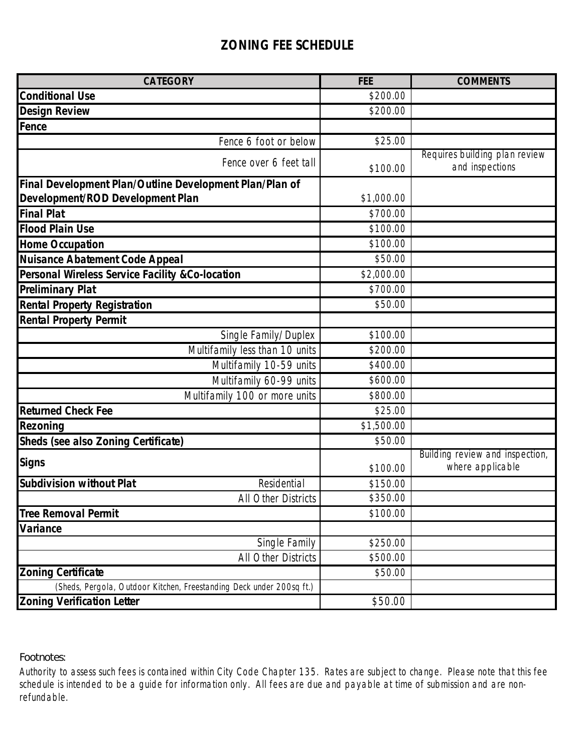## **ZONING FEE SCHEDULE**

| CATEGORY                                                             | <b>FEE</b> | <b>COMMENTS</b>                                     |
|----------------------------------------------------------------------|------------|-----------------------------------------------------|
| <b>Conditional Use</b>                                               | \$200.00   |                                                     |
| <b>Design Review</b>                                                 | \$200.00   |                                                     |
| Fence                                                                |            |                                                     |
| Fence 6 foot or below                                                | \$25.00    |                                                     |
| Fence over 6 feet tall                                               | \$100.00   | Requires building plan review<br>and inspections    |
| Final Development Plan/Outline Development Plan/Plan of              |            |                                                     |
| Development/ROD Development Plan                                     | \$1,000.00 |                                                     |
| <b>Final Plat</b>                                                    | \$700.00   |                                                     |
| <b>Flood Plain Use</b>                                               | \$100.00   |                                                     |
| Home Occupation                                                      | \$100.00   |                                                     |
| Nuisance Abatement Code Appeal                                       | \$50.00    |                                                     |
| Personal Wireless Service Facility &Co-location                      | \$2,000.00 |                                                     |
| <b>Preliminary Plat</b>                                              | \$700.00   |                                                     |
| <b>Rental Property Registration</b>                                  | \$50.00    |                                                     |
| <b>Rental Property Permit</b>                                        |            |                                                     |
| Single Family/Duplex                                                 | \$100.00   |                                                     |
| Multifamily less than 10 units                                       | \$200.00   |                                                     |
| Multifamily 10-59 units                                              | \$400.00   |                                                     |
| Multifamily 60-99 units                                              | \$600.00   |                                                     |
| Multifamily 100 or more units                                        | \$800.00   |                                                     |
| <b>Returned Check Fee</b>                                            | \$25.00    |                                                     |
| Rezoning                                                             | \$1,500.00 |                                                     |
| Sheds (see also Zoning Certificate)                                  | \$50.00    |                                                     |
| Signs                                                                | \$100.00   | Building review and inspection,<br>where applicable |
| Subdivision without Plat<br>Residential                              | \$150.00   |                                                     |
| All Other Districts                                                  | \$350.00   |                                                     |
| <b>Tree Removal Permit</b>                                           | \$100.00   |                                                     |
| Variance                                                             |            |                                                     |
| Single Family                                                        | \$250.00   |                                                     |
| <b>All Other Districts</b>                                           | \$500.00   |                                                     |
| <b>Zoning Certificate</b>                                            | \$50.00    |                                                     |
| (Sheds, Pergola, Outdoor Kitchen, Freestanding Deck under 200sq ft.) |            |                                                     |
| <b>Zoning Verification Letter</b>                                    | \$50.00    |                                                     |

Footnotes:

Authority to assess such fees is contained within City Code Chapter 135. Rates are subject to change. Please note that this fee schedule is intended to be a guide for information only. All fees are due and payable at time of submission and are nonrefundable.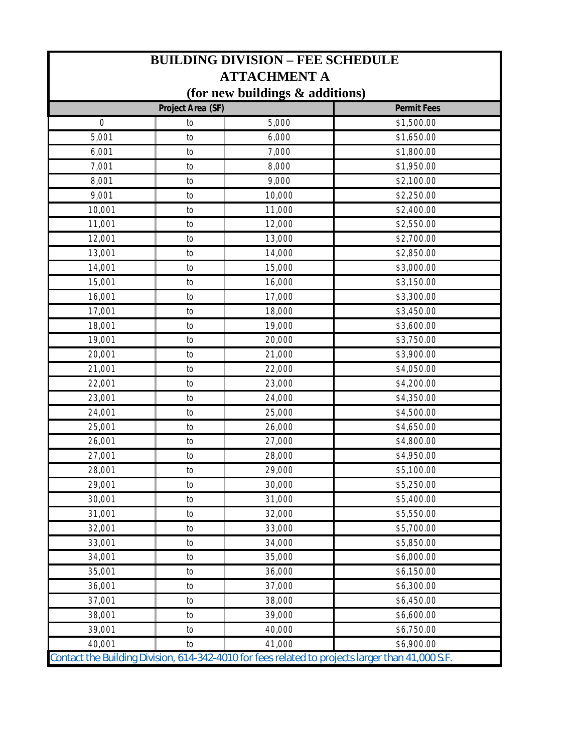| <b>BUILDING DIVISION - FEE SCHEDULE</b> |                   |                                                                                                  |                    |
|-----------------------------------------|-------------------|--------------------------------------------------------------------------------------------------|--------------------|
|                                         |                   | <b>ATTACHMENT A</b>                                                                              |                    |
|                                         |                   | (for new buildings & additions)                                                                  |                    |
|                                         | Project Area (SF) |                                                                                                  | <b>Permit Fees</b> |
| $\overline{0}$                          | to                | 5,000                                                                                            | \$1,500.00         |
| 5,001                                   | to                | 6,000                                                                                            | \$1,650.00         |
| 6,001                                   | to                | 7,000                                                                                            | \$1,800.00         |
| 7,001                                   | to                | 8,000                                                                                            | \$1,950.00         |
| 8,001                                   | to                | 9,000                                                                                            | \$2,100.00         |
| 9,001                                   | to                | 10,000                                                                                           | \$2,250.00         |
| 10,001                                  | to                | 11,000                                                                                           | \$2,400.00         |
| 11,001                                  | to                | 12,000                                                                                           | \$2,550.00         |
| 12,001                                  | to                | 13,000                                                                                           | \$2,700.00         |
| 13,001                                  | to                | 14,000                                                                                           | \$2,850.00         |
| 14,001                                  | to                | 15,000                                                                                           | \$3,000.00         |
| 15,001                                  | to                | 16,000                                                                                           | \$3,150.00         |
| 16,001                                  | to                | 17,000                                                                                           | \$3,300.00         |
| 17,001                                  | to                | 18,000                                                                                           | \$3,450.00         |
| 18,001                                  | to                | 19,000                                                                                           | \$3,600.00         |
| 19,001                                  | to                | 20,000                                                                                           | \$3,750.00         |
| 20,001                                  | to                | 21,000                                                                                           | \$3,900.00         |
| 21,001                                  | to                | 22,000                                                                                           | \$4,050.00         |
| 22,001                                  | to                | 23,000                                                                                           | \$4,200.00         |
| 23,001                                  | to                | 24,000                                                                                           | \$4,350.00         |
| 24,001                                  | to                | 25,000                                                                                           | \$4,500.00         |
| 25,001                                  | to                | 26,000                                                                                           | \$4,650.00         |
| 26,001                                  | to                | 27,000                                                                                           | \$4,800.00         |
| 27,001                                  | to                | 28,000                                                                                           | \$4,950.00         |
| 28,001                                  | to                | 29,000                                                                                           | \$5,100.00         |
| 29,001                                  | to                | 30,000                                                                                           | \$5,250.00         |
| 30,001                                  | to                | 31,000                                                                                           | \$5,400.00         |
| 31,001                                  | to                | 32,000                                                                                           | \$5,550.00         |
| 32,001                                  | to                | 33,000                                                                                           | \$5,700.00         |
| 33,001                                  | to                | 34,000                                                                                           | \$5,850.00         |
| 34,001                                  | to                | 35,000                                                                                           | \$6,000.00         |
| 35,001                                  | to                | 36,000                                                                                           | \$6,150.00         |
| 36,001                                  | to                | 37,000                                                                                           | \$6,300.00         |
| 37,001                                  | to                | 38,000                                                                                           | \$6,450.00         |
| 38,001                                  | to                | 39,000                                                                                           | \$6,600.00         |
| 39,001                                  | to                | 40,000                                                                                           | \$6,750.00         |
| 40,001                                  | to                | 41,000                                                                                           | \$6,900.00         |
|                                         |                   | Contact the Building Division, 614-342-4010 for fees related to projects larger than 41,000 S.F. |                    |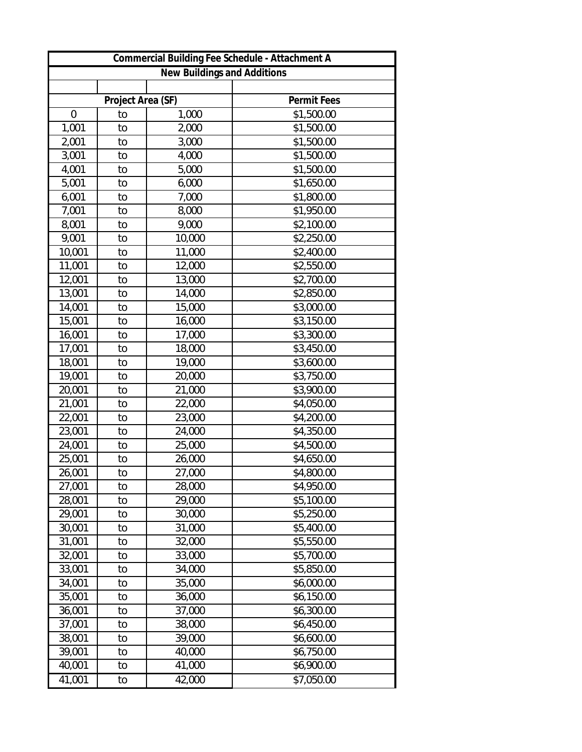| Commercial Building Fee Schedule - Attachment A |                   |        |             |
|-------------------------------------------------|-------------------|--------|-------------|
| New Buildings and Additions                     |                   |        |             |
|                                                 |                   |        |             |
|                                                 | Project Area (SF) |        | Permit Fees |
| $\boldsymbol{0}$                                | to                | 1,000  | \$1,500.00  |
| 1,001                                           | to                | 2,000  | \$1,500.00  |
| 2,001                                           | to                | 3,000  | \$1,500.00  |
| 3,001                                           | to                | 4,000  | \$1,500.00  |
| 4,001                                           | to                | 5,000  | \$1,500.00  |
| 5,001                                           | to                | 6,000  | \$1,650.00  |
| 6,001                                           | to                | 7,000  | \$1,800.00  |
| 7,001                                           | to                | 8,000  | \$1,950.00  |
| 8,001                                           | to                | 9,000  | \$2,100.00  |
| 9,001                                           | to                | 10,000 | \$2,250.00  |
| 10,001                                          | to                | 11,000 | \$2,400.00  |
| 11,001                                          | to                | 12,000 | \$2,550.00  |
| 12,001                                          | to                | 13,000 | \$2,700.00  |
| 13,001                                          | to                | 14,000 | \$2,850.00  |
| 14,001                                          | to                | 15,000 | \$3,000.00  |
| 15,001                                          | to                | 16,000 | \$3,150.00  |
| 16,001                                          | to                | 17,000 | \$3,300.00  |
| 17,001                                          | to                | 18,000 | \$3,450.00  |
| 18,001                                          | to                | 19,000 | \$3,600.00  |
| 19,001                                          | to                | 20,000 | \$3,750.00  |
| 20,001                                          | to                | 21,000 | \$3,900.00  |
| 21,001                                          | to                | 22,000 | \$4,050.00  |
| 22,001                                          | to                | 23,000 | \$4,200.00  |
| 23,001                                          | to                | 24,000 | \$4,350.00  |
| 24,001                                          | to                | 25,000 | \$4,500.00  |
| 25,001                                          | to                | 26,000 | \$4,650.00  |
| 26,001                                          | to                | 27,000 | \$4,800.00  |
| 27,001                                          | to                | 28,000 | \$4,950.00  |
| 28,001                                          | to                | 29,000 | \$5,100.00  |
| 29,001                                          | to                | 30,000 | \$5,250.00  |
| 30,001                                          | to                | 31,000 | \$5,400.00  |
| 31,001                                          | to                | 32,000 | \$5,550.00  |
| 32,001                                          | to                | 33,000 | \$5,700.00  |
| 33,001                                          | to                | 34,000 | \$5,850.00  |
| 34,001                                          | to                | 35,000 | \$6,000.00  |
| 35,001                                          | to                | 36,000 | \$6,150.00  |
| 36,001                                          | to                | 37,000 | \$6,300.00  |
| 37,001                                          | to                | 38,000 | \$6,450.00  |
| 38,001                                          | to                | 39,000 | \$6,600.00  |
| 39,001                                          | to                | 40,000 | \$6,750.00  |
| 40,001                                          | to                | 41,000 | \$6,900.00  |
| 41,001                                          | to                | 42,000 | \$7,050.00  |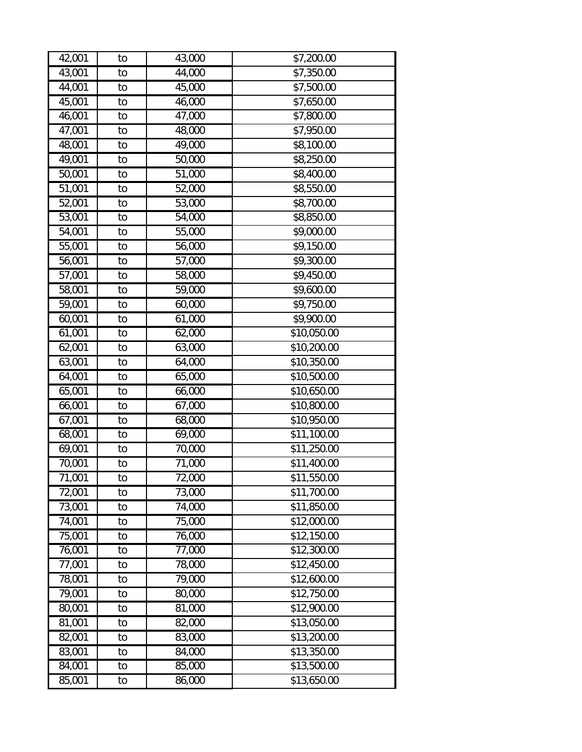| 42,001              | to | 43,000              | \$7,200.00              |
|---------------------|----|---------------------|-------------------------|
| 43,001              | to | 44,000              | \$7,350.00              |
| 44,001              | to | 45,000              | \$7,500.00              |
| 45,001              | to | 46,000              | \$7,650.00              |
| 46,001              | to | 47,000              | \$7,800.00              |
| 47,001              | to | 48,000              | \$7,950.00              |
| 48,001              | to | 49,000              | \$8,100.00              |
| 49,001              | to | 50,000              | \$8,250.00              |
| 50,001              | to | 51,000              | \$8,400.00              |
| 51,001              | to | 52,000              | \$8,550.00              |
| 52,001              | to | 53,000              | \$8,700.00              |
| 53,001              | to | 54,000              | \$8,850.00              |
| 54,001              | to | 55,000              | \$9,000.00              |
| $\overline{55,001}$ | to | 56,000              | \$9,150.00              |
| 56,001              | to | 57,000              | \$9,300.00              |
| 57,001              | to | 58,000              | \$9,450.00              |
| 58,001              | to | 59,000              | \$9,600.00              |
| $\overline{59,}001$ | to | 60,000              | \$9,750.00              |
| 60,001              | to | 61,000              | \$9,900.00              |
| 61,001              | to | 62,000              | \$10,050.00             |
| 62,001              | to | 63,000              | \$10,200.00             |
| 63,001              | to | 64,000              | \$10,350.00             |
| 64,001              | to | 65,000              | \$10,500.00             |
| 65,001              | to | 66,000              | \$10,650.00             |
| 66,001              | to | 67,000              | \$10,800.00             |
| 67,001              | to | 68,000              | \$10,950.00             |
| 68,001              | to | 69,000              | \$11,100.00             |
| 69,001              | to | 70,000              | \$11,250.00             |
| 70,001              | to | 71,000              | \$11,400.00             |
| 71,001              | to | $\overline{72,000}$ | $\overline{$}11,550.00$ |
| 72,001              | to | 73,000              | \$11,700.00             |
| 73,001              | to | 74,000              | \$11,850.00             |
| 74,001              | to | 75,000              | \$12,000.00             |
| 75,001              | to | 76,000              | \$12,150.00             |
| 76,001              | to | 77,000              | \$12,300.00             |
| 77,001              | to | 78,000              | \$12,450.00             |
| 78,001              | to | 79,000              | \$12,600.00             |
| 79,001              | to | 80,000              | \$12,750.00             |
| 80,001              | to | 81,000              | \$12,900.00             |
| 81,001              | to | 82,000              | \$13,050.00             |
| 82,001              | to | 83,000              | \$13,200.00             |
| 83,001              | to | 84,000              | \$13,350.00             |
| 84,001              | to | 85,000              | \$13,500.00             |
| 85,001              | to | 86,000              | \$13,650.00             |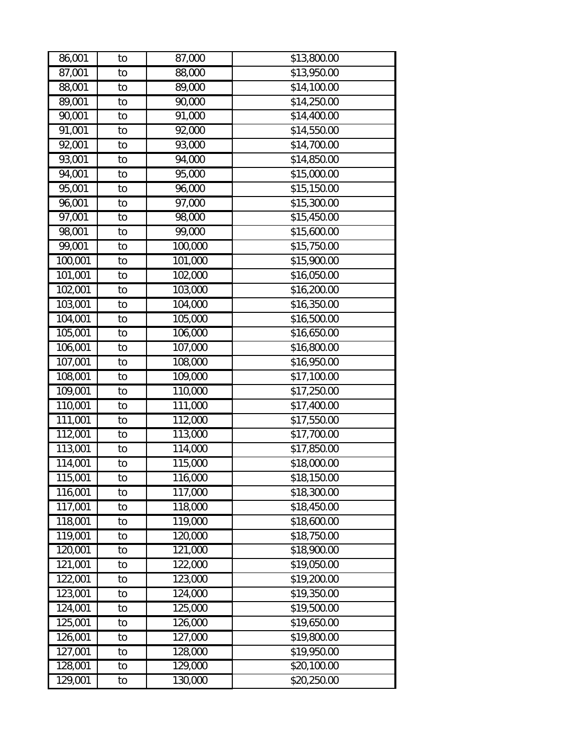| 86,001                | to | 87,000  | \$13,800.00 |
|-----------------------|----|---------|-------------|
| 87,001                | to | 88,000  | \$13,950.00 |
| 88,001                | to | 89,000  | \$14,100.00 |
| 89,001                | to | 90,000  | \$14,250.00 |
| 90,001                | to | 91,000  | \$14,400.00 |
| $\overline{9}1,001$   | to | 92,000  | \$14,550.00 |
| 92,001                | to | 93,000  | \$14,700.00 |
| 93,001                | to | 94,000  | \$14,850.00 |
| 94,001                | to | 95,000  | \$15,000.00 |
| 95,001                | to | 96,000  | \$15,150.00 |
| 96,001                | to | 97,000  | \$15,300.00 |
| 97,001                | to | 98,000  | \$15,450.00 |
| 98,001                | to | 99,000  | \$15,600.00 |
| 99,001                | to | 100,000 | \$15,750.00 |
| 100,001               | to | 101,000 | \$15,900.00 |
| 101,001               | to | 102,000 | \$16,050.00 |
| 102,001               | to | 103,000 | \$16,200.00 |
| 103,001               | to | 104,000 | \$16,350.00 |
| 104,001               | to | 105,000 | \$16,500.00 |
| 105,001               | to | 106,000 | \$16,650.00 |
| 106,001               | to | 107,000 | \$16,800.00 |
| 107,001               | to | 108,000 | \$16,950.00 |
| 108,001               | to | 109,000 | \$17,100.00 |
| 109,001               | to | 110,000 | \$17,250.00 |
| 110,001               | to | 111,000 | \$17,400.00 |
| 111,001               | to | 112,000 | \$17,550.00 |
| 112,001               | to | 113,000 | \$17,700.00 |
| 113,001               | to | 114,000 | \$17,850.00 |
| 114,001               | to | 115,000 | \$18,000.00 |
| 115,001               | to | 116,000 | \$18,150.00 |
| 116,001               | to | 117,000 | \$18,300.00 |
| 117,001               | to | 118,000 | \$18,450.00 |
| 118,001               | to | 119,000 | \$18,600.00 |
| 119,001               | to | 120,000 | \$18,750.00 |
| 120,001               | to | 121,000 | \$18,900.00 |
| 121,001               | to | 122,000 | \$19,050.00 |
| 122,001               | to | 123,000 | \$19,200.00 |
| 123,001               | to | 124,000 | \$19,350.00 |
| 124,001               | to | 125,000 | \$19,500.00 |
| 125,001               | to | 126,000 | \$19,650.00 |
| 126,001               | to | 127,000 | \$19,800.00 |
| $\overline{127}$ ,001 | to | 128,000 | \$19,950.00 |
| 128,001               | to | 129,000 | \$20,100.00 |
| 129,001               | to | 130,000 | \$20,250.00 |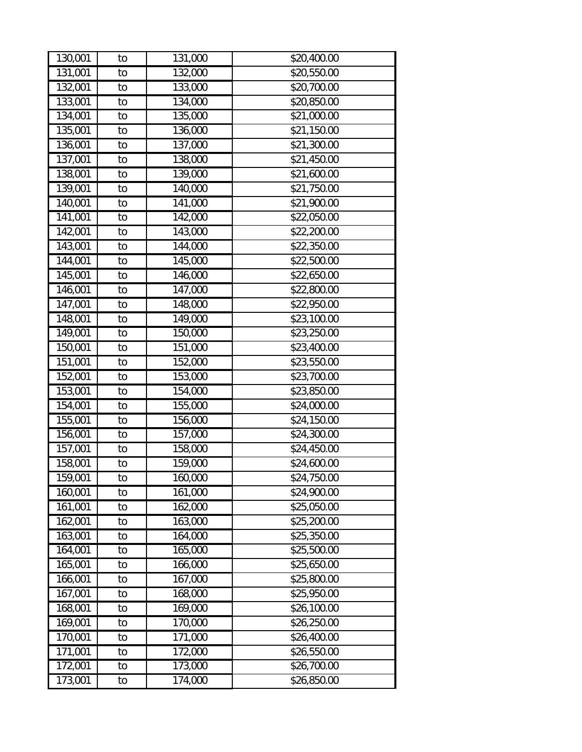| 130,001 | to | 131,000 | \$20,400.00 |
|---------|----|---------|-------------|
| 131,001 | to | 132,000 | \$20,550.00 |
| 132,001 | to | 133,000 | \$20,700.00 |
| 133,001 | to | 134,000 | \$20,850.00 |
| 134,001 | to | 135,000 | \$21,000.00 |
| 135,001 | to | 136,000 | \$21,150.00 |
| 136,001 | to | 137,000 | \$21,300.00 |
| 137,001 | to | 138,000 | \$21,450.00 |
| 138,001 | to | 139,000 | \$21,600.00 |
| 139,001 | to | 140,000 | \$21,750.00 |
| 140,001 | to | 141,000 | \$21,900.00 |
| 141,001 | to | 142,000 | \$22,050.00 |
| 142,001 | to | 143,000 | \$22,200.00 |
| 143,001 | to | 144,000 | \$22,350.00 |
| 144,001 | to | 145,000 | \$22,500.00 |
| 145,001 | to | 146,000 | \$22,650.00 |
| 146,001 | to | 147,000 | \$22,800.00 |
| 147,001 | to | 148,000 | \$22,950.00 |
| 148,001 | to | 149,000 | \$23,100.00 |
| 149,001 | to | 150,000 | \$23,250.00 |
| 150,001 | to | 151,000 | \$23,400.00 |
| 151,001 | to | 152,000 | \$23,550.00 |
| 152,001 | to | 153,000 | \$23,700.00 |
| 153,001 | to | 154,000 | \$23,850.00 |
| 154,001 | to | 155,000 | \$24,000.00 |
| 155,001 | to | 156,000 | \$24,150.00 |
| 156,001 | to | 157,000 | \$24,300.00 |
| 157,001 | to | 158,000 | \$24,450.00 |
| 158,001 | to | 159,000 | \$24,600.00 |
| 159,001 | to | 160,000 | \$24,750.00 |
| 160,001 | to | 161,000 | \$24,900.00 |
| 161,001 | to | 162,000 | \$25,050.00 |
| 162,001 | to | 163,000 | \$25,200.00 |
| 163,001 | to | 164,000 | \$25,350.00 |
| 164,001 | to | 165,000 | \$25,500.00 |
| 165,001 | to | 166,000 | \$25,650.00 |
| 166,001 | to | 167,000 | \$25,800.00 |
| 167,001 | to | 168,000 | \$25,950.00 |
| 168,001 | to | 169,000 | \$26,100.00 |
| 169,001 | to | 170,000 | \$26,250.00 |
| 170,001 | to | 171,000 | \$26,400.00 |
| 171,001 | to | 172,000 | \$26,550.00 |
| 172,001 | to | 173,000 | \$26,700.00 |
| 173,001 | to | 174,000 | \$26,850.00 |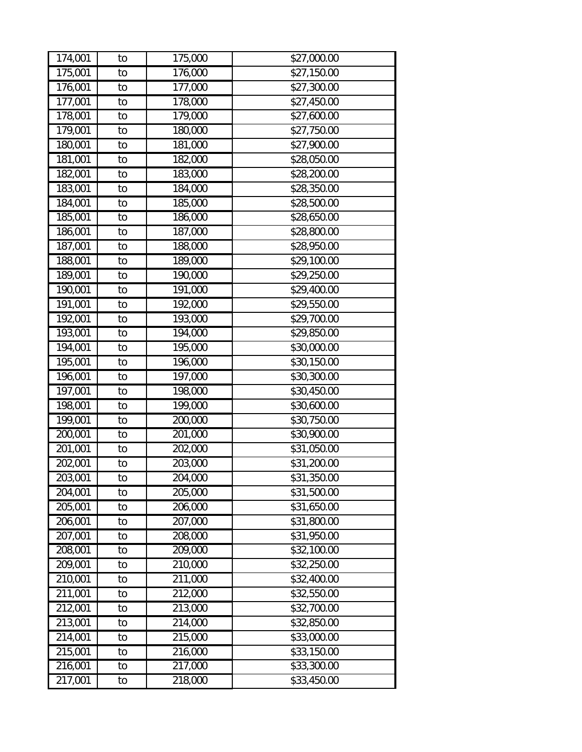| 174,001               | to | 175,000 | \$27,000.00             |
|-----------------------|----|---------|-------------------------|
| 175,001               | to | 176,000 | \$27,150.00             |
| 176,001               | to | 177,000 | \$27,300.00             |
| 177,001               | to | 178,000 | \$27,450.00             |
| 178,001               | to | 179,000 | \$27,600.00             |
| 179,001               | to | 180,000 | \$27,750.00             |
| 180,001               | to | 181,000 | \$27,900.00             |
| 181,001               | to | 182,000 | \$28,050.00             |
| 182,001               | to | 183,000 | \$28,200.00             |
| 183,001               | to | 184,000 | \$28,350.00             |
| 184,001               | to | 185,000 | \$28,500.00             |
| 185,001               | to | 186,000 | \$28,650.00             |
| 186,001               | to | 187,000 | \$28,800.00             |
| 187,001               | to | 188,000 | \$28,950.00             |
| 188,001               | to | 189,000 | \$29,100.00             |
| 189,001               | to | 190,000 | \$29,250.00             |
| 190,001               | to | 191,000 | \$29,400.00             |
| 191,001               | to | 192,000 | \$29,550.00             |
| 192,001               | to | 193,000 | \$29,700.00             |
| 193,001               | to | 194,000 | \$29,850.00             |
| 194,001               | to | 195,000 | \$30,000.00             |
| 195,001               | to | 196,000 | \$30,150.00             |
| 196,001               | to | 197,000 | \$30,300.00             |
| 197,001               | to | 198,000 | \$30,450.00             |
| 198,001               | to | 199,000 | \$30,600.00             |
| 199,001               | to | 200,000 | \$30,750.00             |
| 200,001               | to | 201,000 | \$30,900.00             |
| 201,001               | to | 202,000 | \$31,050.00             |
| 202,001               | to | 203,000 | \$31,200.00             |
| 203,001               | to | 204,000 | $\overline{$}31,350.00$ |
| 204,001               | to | 205,000 | \$31,500.00             |
| 205,001               | to | 206,000 | \$31,650.00             |
| 206,001               | to | 207,000 | \$31,800.00             |
| 207,001               | to | 208,000 | \$31,950.00             |
| 208,001               | to | 209,000 | \$32,100.00             |
| 209,001               | to | 210,000 | \$32,250.00             |
| 210,001               | to | 211,000 | \$32,400.00             |
| 211,001               | to | 212,000 | \$32,550.00             |
| 212,001               | to | 213,000 | \$32,700.00             |
| 213,001               | to | 214,000 | \$32,850.00             |
| 214,001               | to | 215,000 | \$33,000.00             |
| 215,001               | to | 216,000 | \$33,150.00             |
| $\overline{216}$ ,001 | to | 217,000 | \$33,300.00             |
| 217,001               | to | 218,000 | \$33,450.00             |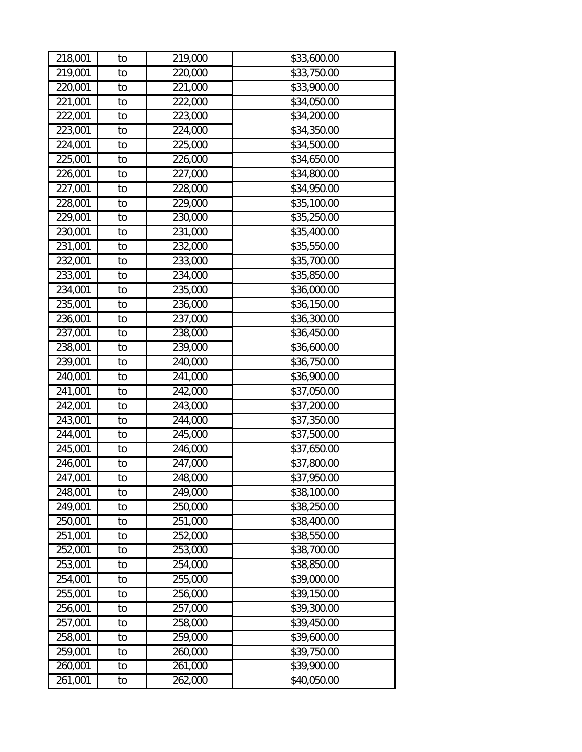| 218,001 | to | 219,000 | \$33,600.00 |
|---------|----|---------|-------------|
| 219,001 | to | 220,000 | \$33,750.00 |
| 220,001 | to | 221,000 | \$33,900.00 |
| 221,001 | to | 222,000 | \$34,050.00 |
| 222,001 | to | 223,000 | \$34,200.00 |
| 223,001 | to | 224,000 | \$34,350.00 |
| 224,001 | to | 225,000 | \$34,500.00 |
| 225,001 | to | 226,000 | \$34,650.00 |
| 226,001 | to | 227,000 | \$34,800.00 |
| 227,001 | to | 228,000 | \$34,950.00 |
| 228,001 | to | 229,000 | \$35,100.00 |
| 229,001 | to | 230,000 | \$35,250.00 |
| 230,001 | to | 231,000 | \$35,400.00 |
| 231,001 | to | 232,000 | \$35,550.00 |
| 232,001 | to | 233,000 | \$35,700.00 |
| 233,001 | to | 234,000 | \$35,850.00 |
| 234,001 | to | 235,000 | \$36,000.00 |
| 235,001 | to | 236,000 | \$36,150.00 |
| 236,001 | to | 237,000 | \$36,300.00 |
| 237,001 | to | 238,000 | \$36,450.00 |
| 238,001 | to | 239,000 | \$36,600.00 |
| 239,001 | to | 240,000 | \$36,750.00 |
| 240,001 | to | 241,000 | \$36,900.00 |
| 241,001 | to | 242,000 | \$37,050.00 |
| 242,001 | to | 243,000 | \$37,200.00 |
| 243,001 | to | 244,000 | \$37,350.00 |
| 244,001 | to | 245,000 | \$37,500.00 |
| 245,001 | to | 246,000 | \$37,650.00 |
| 246,001 | to | 247,000 | \$37,800.00 |
| 247,001 | to | 248,000 | \$37,950.00 |
| 248,001 | to | 249,000 | \$38,100.00 |
| 249,001 | to | 250,000 | \$38,250.00 |
| 250,001 | to | 251,000 | \$38,400.00 |
| 251,001 | to | 252,000 | \$38,550.00 |
| 252,001 | to | 253,000 | \$38,700.00 |
| 253,001 | to | 254,000 | \$38,850.00 |
| 254,001 | to | 255,000 | \$39,000.00 |
| 255,001 | to | 256,000 | \$39,150.00 |
| 256,001 | to | 257,000 | \$39,300.00 |
| 257,001 | to | 258,000 | \$39,450.00 |
| 258,001 | to | 259,000 | \$39,600.00 |
| 259,001 | to | 260,000 | \$39,750.00 |
| 260,001 | to | 261,000 | \$39,900.00 |
| 261,001 | to | 262,000 | \$40,050.00 |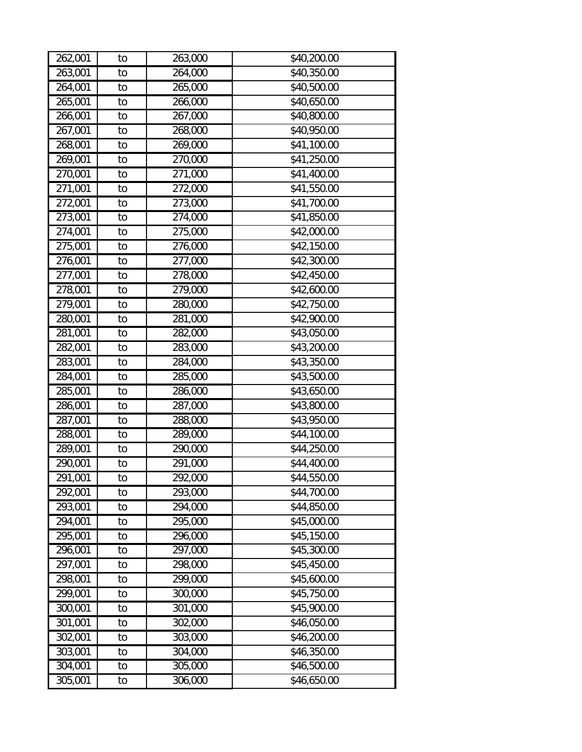| 262,001               | to | 263,000 | \$40,200.00 |
|-----------------------|----|---------|-------------|
| 263,001               | to | 264,000 | \$40,350.00 |
| 264,001               | to | 265,000 | \$40,500.00 |
| 265,001               | to | 266,000 | \$40,650.00 |
| 266,001               | to | 267,000 | \$40,800.00 |
| 267,001               | to | 268,000 | \$40,950.00 |
| 268,001               | to | 269,000 | \$41,100.00 |
| 269,001               | to | 270,000 | \$41,250.00 |
| 270,001               | to | 271,000 | \$41,400.00 |
| 271,001               | to | 272,000 | \$41,550.00 |
| 272,001               | to | 273,000 | \$41,700.00 |
| 273,001               | to | 274,000 | \$41,850.00 |
| 274,001               | to | 275,000 | \$42,000.00 |
| 275,001               | to | 276,000 | \$42,150.00 |
| 276,001               | to | 277,000 | \$42,300.00 |
| 277,001               | to | 278,000 | \$42,450.00 |
| 278,001               | to | 279,000 | \$42,600.00 |
| 279,001               | to | 280,000 | \$42,750.00 |
| 280,001               | to | 281,000 | \$42,900.00 |
| 281,001               | to | 282,000 | \$43,050.00 |
| 282,001               | to | 283,000 | \$43,200.00 |
| 283,001               | to | 284,000 | \$43,350.00 |
| 284,001               | to | 285,000 | \$43,500.00 |
| 285,001               | to | 286,000 | \$43,650.00 |
| 286,001               | to | 287,000 | \$43,800.00 |
| 287,001               | to | 288,000 | \$43,950.00 |
| 288,001               | to | 289,000 | \$44,100.00 |
| 289,001               | to | 290,000 | \$44,250.00 |
| 290,001               | to | 291,000 | \$44,400.00 |
| 291,001               | to | 292,000 | \$44,550.00 |
| $\overline{292}$ ,001 | to | 293,000 | \$44,700.00 |
| 293,001               | to | 294,000 | \$44,850.00 |
| 294,001               | to | 295,000 | \$45,000.00 |
| 295,001               | to | 296,000 | \$45,150.00 |
| 296,001               | to | 297,000 | \$45,300.00 |
| 297,001               | to | 298,000 | \$45,450.00 |
| 298,001               | to | 299,000 | \$45,600.00 |
| 299,001               | to | 300,000 | \$45,750.00 |
| 300,001               | to | 301,000 | \$45,900.00 |
| 301,001               | to | 302,000 | \$46,050.00 |
| 302,001               | to | 303,000 | \$46,200.00 |
| 303,001               | to | 304,000 | \$46,350.00 |
| 304,001               | to | 305,000 | \$46,500.00 |
| 305,001               | to | 306,000 | \$46,650.00 |